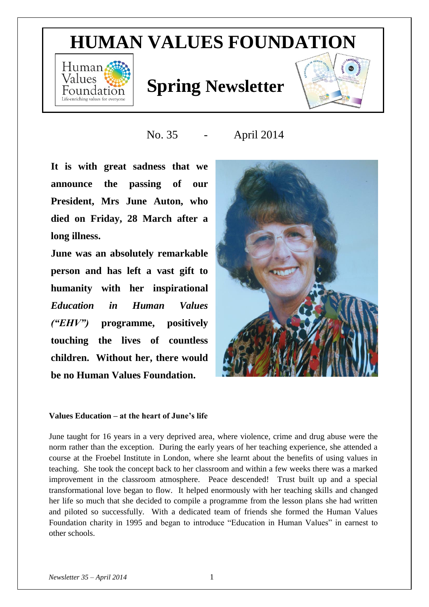# **HUMAN VALUES FOUNDATION**



# **Values Spring Newsletter**



No. 35 - April 2014

**It is with great sadness that we announce the passing of our President, Mrs June Auton, who died on Friday, 28 March after a long illness.** 

**June was an absolutely remarkable person and has left a vast gift to humanity with her inspirational**  *Education in Human Values ("EHV")* **programme, positively touching the lives of countless children. Without her, there would be no Human Values Foundation.**



### **Values Education – at the heart of June's life**

June taught for 16 years in a very deprived area, where violence, crime and drug abuse were the norm rather than the exception. During the early years of her teaching experience, she attended a course at the Froebel Institute in London, where she learnt about the benefits of using values in teaching. She took the concept back to her classroom and within a few weeks there was a marked improvement in the classroom atmosphere. Peace descended! Trust built up and a special transformational love began to flow. It helped enormously with her teaching skills and changed her life so much that she decided to compile a programme from the lesson plans she had written and piloted so successfully. With a dedicated team of friends she formed the Human Values Foundation charity in 1995 and began to introduce "Education in Human Values" in earnest to other schools.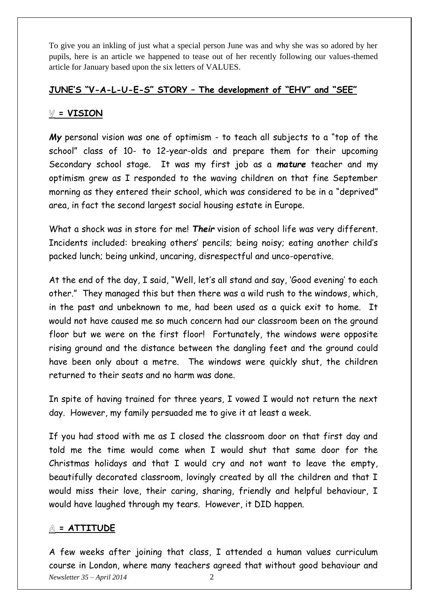To give you an inkling of just what a special person June was and why she was so adored by her pupils, here is an article we happened to tease out of her recently following our values-themed article for January based upon the six letters of VALUES.

## **JUNE'S "V-A-L-U-E-S" STORY – The development of "EHV" and "SEE"**

# **V = VISION**

*My* personal vision was one of optimism - to teach all subjects to a "top of the school" class of 10- to 12-year-olds and prepare them for their upcoming Secondary school stage. It was my first job as a *mature* teacher and my optimism grew as I responded to the waving children on that fine September morning as they entered their school, which was considered to be in a "deprived" area, in fact the second largest social housing estate in Europe.

What a shock was in store for me! *Their* vision of school life was very different. Incidents included: breaking others' pencils; being noisy; eating another child's packed lunch; being unkind, uncaring, disrespectful and unco-operative.

At the end of the day, I said, "Well, let's all stand and say, 'Good evening' to each other." They managed this but then there was a wild rush to the windows, which, in the past and unbeknown to me, had been used as a quick exit to home. It would not have caused me so much concern had our classroom been on the ground floor but we were on the first floor! Fortunately, the windows were opposite rising ground and the distance between the dangling feet and the ground could have been only about a metre. The windows were quickly shut, the children returned to their seats and no harm was done.

In spite of having trained for three years, I vowed I would not return the next day. However, my family persuaded me to give it at least a week.

If you had stood with me as I closed the classroom door on that first day and told me the time would come when I would shut that same door for the Christmas holidays and that I would cry and not want to leave the empty, beautifully decorated classroom, lovingly created by all the children and that I would miss their love, their caring, sharing, friendly and helpful behaviour, I would have laughed through my tears. However, it DID happen.

# **= ATTITUDE**

*Newsletter 35 – April 2014* 2 A few weeks after joining that class, I attended a human values curriculum course in London, where many teachers agreed that without good behaviour and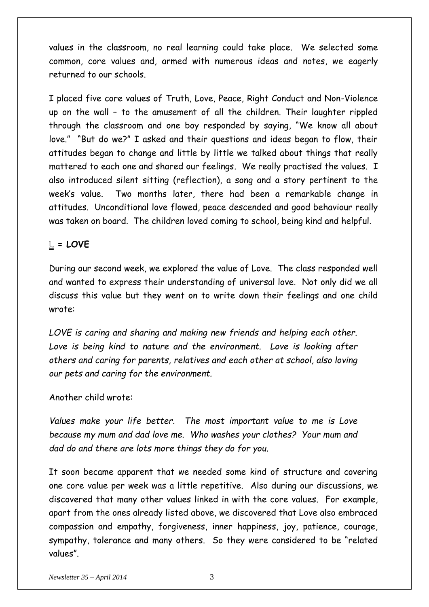values in the classroom, no real learning could take place. We selected some common, core values and, armed with numerous ideas and notes, we eagerly returned to our schools.

I placed five core values of Truth, Love, Peace, Right Conduct and Non-Violence up on the wall – to the amusement of all the children. Their laughter rippled through the classroom and one boy responded by saying, "We know all about love." "But do we?" I asked and their questions and ideas began to flow, their attitudes began to change and little by little we talked about things that really mattered to each one and shared our feelings. We really practised the values. I also introduced silent sitting (reflection), a song and a story pertinent to the week's value. Two months later, there had been a remarkable change in attitudes. Unconditional love flowed, peace descended and good behaviour really was taken on board. The children loved coming to school, being kind and helpful.

## **= LOVE**

During our second week, we explored the value of Love. The class responded well and wanted to express their understanding of universal love. Not only did we all discuss this value but they went on to write down their feelings and one child wrote:

*LOVE is caring and sharing and making new friends and helping each other.*  Love is being kind to nature and the environment. Love is looking after *others and caring for parents, relatives and each other at school, also loving our pets and caring for the environment.*

## Another child wrote:

*Values make your life better. The most important value to me is Love because my mum and dad love me. Who washes your clothes? Your mum and dad do and there are lots more things they do for you*.

It soon became apparent that we needed some kind of structure and covering one core value per week was a little repetitive. Also during our discussions, we discovered that many other values linked in with the core values. For example, apart from the ones already listed above, we discovered that Love also embraced compassion and empathy, forgiveness, inner happiness, joy, patience, courage, sympathy, tolerance and many others. So they were considered to be "related values".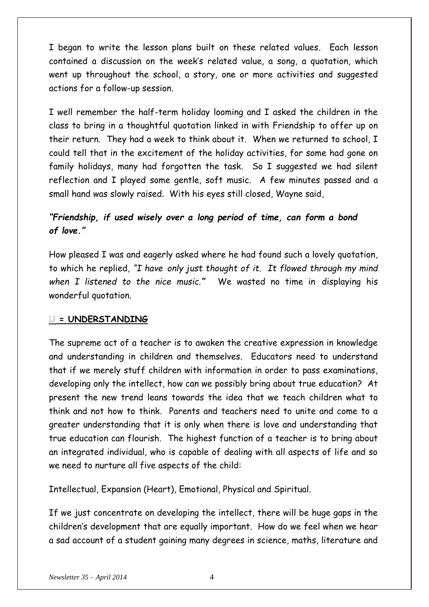I began to write the lesson plans built on these related values. Each lesson contained a discussion on the week's related value, a song, a quotation, which went up throughout the school, a story, one or more activities and suggested actions for a follow-up session.

I well remember the half-term holiday looming and I asked the children in the class to bring in a thoughtful quotation linked in with Friendship to offer up on their return. They had a week to think about it. When we returned to school, I could tell that in the excitement of the holiday activities, for some had gone on family holidays, many had forgotten the task. So I suggested we had silent reflection and I played some gentle, soft music. A few minutes passed and a small hand was slowly raised. With his eyes still closed, Wayne said,

# *"Friendship, if used wisely over a long period of time, can form a bond of love."*

How pleased I was and eagerly asked where he had found such a lovely quotation, to which he replied, *"I have only just thought of it. It flowed through my mind when I listened to the nice music."* We wasted no time in displaying his wonderful quotation.

## **= UNDERSTANDING**

The supreme act of a teacher is to awaken the creative expression in knowledge and understanding in children and themselves. Educators need to understand that if we merely stuff children with information in order to pass examinations, developing only the intellect, how can we possibly bring about true education? At present the new trend leans towards the idea that we teach children what to think and not how to think. Parents and teachers need to unite and come to a greater understanding that it is only when there is love and understanding that true education can flourish. The highest function of a teacher is to bring about an integrated individual, who is capable of dealing with all aspects of life and so we need to nurture all five aspects of the child:

Intellectual, Expansion (Heart), Emotional, Physical and Spiritual.

If we just concentrate on developing the intellect, there will be huge gaps in the children's development that are equally important. How do we feel when we hear a sad account of a student gaining many degrees in science, maths, literature and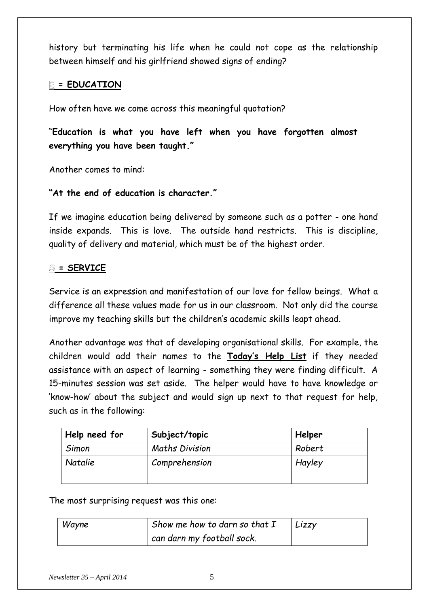history but terminating his life when he could not cope as the relationship between himself and his girlfriend showed signs of ending?

# **= EDUCATION**

How often have we come across this meaningful quotation?

"**Education is what you have left when you have forgotten almost everything you have been taught."**

Another comes to mind:

# **"At the end of education is character."**

If we imagine education being delivered by someone such as a potter - one hand inside expands. This is love. The outside hand restricts. This is discipline, quality of delivery and material, which must be of the highest order.

# **= SERVICE**

Service is an expression and manifestation of our love for fellow beings. What a difference all these values made for us in our classroom. Not only did the course improve my teaching skills but the children's academic skills leapt ahead.

Another advantage was that of developing organisational skills. For example, the children would add their names to the **Today's Help List** if they needed assistance with an aspect of learning - something they were finding difficult. A 15-minutes session was set aside. The helper would have to have knowledge or 'know-how' about the subject and would sign up next to that request for help, such as in the following:

| Help need for  | Subject/topic         | Helper |
|----------------|-----------------------|--------|
| Simon          | <b>Maths Division</b> | Robert |
| <b>Natalie</b> | Comprehension         | Hayley |
|                |                       |        |

The most surprising request was this one:

| Wayne | Show me how to darn so that $I$ | Lizzy |
|-------|---------------------------------|-------|
|       | can darn my football sock.      |       |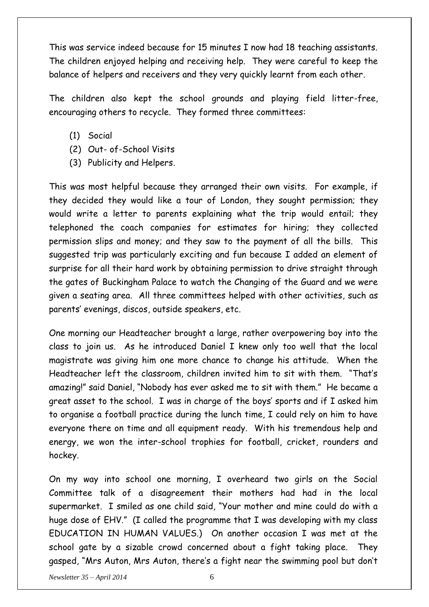This was service indeed because for 15 minutes I now had 18 teaching assistants. The children enjoyed helping and receiving help. They were careful to keep the balance of helpers and receivers and they very quickly learnt from each other.

The children also kept the school grounds and playing field litter-free, encouraging others to recycle. They formed three committees:

- (1) Social
- (2) Out- of-School Visits
- (3) Publicity and Helpers.

This was most helpful because they arranged their own visits. For example, if they decided they would like a tour of London, they sought permission; they would write a letter to parents explaining what the trip would entail; they telephoned the coach companies for estimates for hiring; they collected permission slips and money; and they saw to the payment of all the bills. This suggested trip was particularly exciting and fun because I added an element of surprise for all their hard work by obtaining permission to drive straight through the gates of Buckingham Palace to watch the Changing of the Guard and we were given a seating area. All three committees helped with other activities, such as parents' evenings, discos, outside speakers, etc.

One morning our Headteacher brought a large, rather overpowering boy into the class to join us. As he introduced Daniel I knew only too well that the local magistrate was giving him one more chance to change his attitude. When the Headteacher left the classroom, children invited him to sit with them. "That's amazing!" said Daniel, "Nobody has ever asked me to sit with them." He became a great asset to the school. I was in charge of the boys' sports and if I asked him to organise a football practice during the lunch time, I could rely on him to have everyone there on time and all equipment ready. With his tremendous help and energy, we won the inter-school trophies for football, cricket, rounders and hockey.

On my way into school one morning, I overheard two girls on the Social Committee talk of a disagreement their mothers had had in the local supermarket. I smiled as one child said, "Your mother and mine could do with a huge dose of EHV." (I called the programme that I was developing with my class EDUCATION IN HUMAN VALUES.) On another occasion I was met at the school gate by a sizable crowd concerned about a fight taking place. They gasped, "Mrs Auton, Mrs Auton, there's a fight near the swimming pool but don't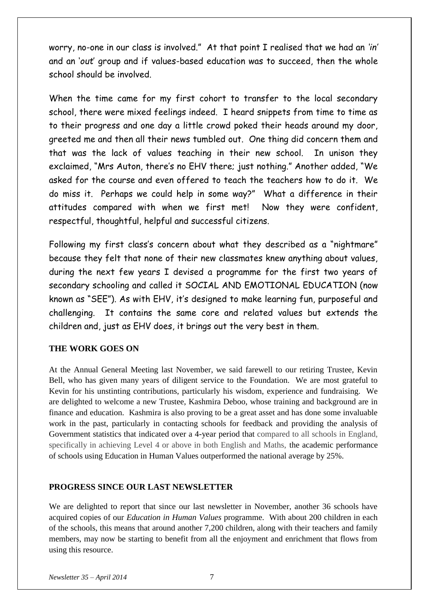worry, no-one in our class is involved." At that point I realised that we had an *'in'* and an '*out*' group and if values-based education was to succeed, then the whole school should be involved.

When the time came for my first cohort to transfer to the local secondary school, there were mixed feelings indeed. I heard snippets from time to time as to their progress and one day a little crowd poked their heads around my door, greeted me and then all their news tumbled out. One thing did concern them and that was the lack of values teaching in their new school. In unison they exclaimed, "Mrs Auton, there's no EHV there; just nothing." Another added, "We asked for the course and even offered to teach the teachers how to do it. We do miss it. Perhaps we could help in some way?" What a difference in their attitudes compared with when we first met! Now they were confident, respectful, thoughtful, helpful and successful citizens.

Following my first class's concern about what they described as a "nightmare" because they felt that none of their new classmates knew anything about values, during the next few years I devised a programme for the first two years of secondary schooling and called it SOCIAL AND EMOTIONAL EDUCATION (now known as "SEE"). As with EHV, it's designed to make learning fun, purposeful and challenging. It contains the same core and related values but extends the children and, just as EHV does, it brings out the very best in them.

## **THE WORK GOES ON**

At the Annual General Meeting last November, we said farewell to our retiring Trustee, Kevin Bell, who has given many years of diligent service to the Foundation. We are most grateful to Kevin for his unstinting contributions, particularly his wisdom, experience and fundraising. We are delighted to welcome a new Trustee, Kashmira Deboo, whose training and background are in finance and education. Kashmira is also proving to be a great asset and has done some invaluable work in the past, particularly in contacting schools for feedback and providing the analysis of Government statistics that indicated over a 4-year period that compared to all schools in England, specifically in achieving Level 4 or above in both English and Maths, the academic performance of schools using Education in Human Values outperformed the national average by 25%.

#### **PROGRESS SINCE OUR LAST NEWSLETTER**

We are delighted to report that since our last newsletter in November, another 36 schools have acquired copies of our *Education in Human Values* programme. With about 200 children in each of the schools, this means that around another 7,200 children, along with their teachers and family members, may now be starting to benefit from all the enjoyment and enrichment that flows from using this resource.